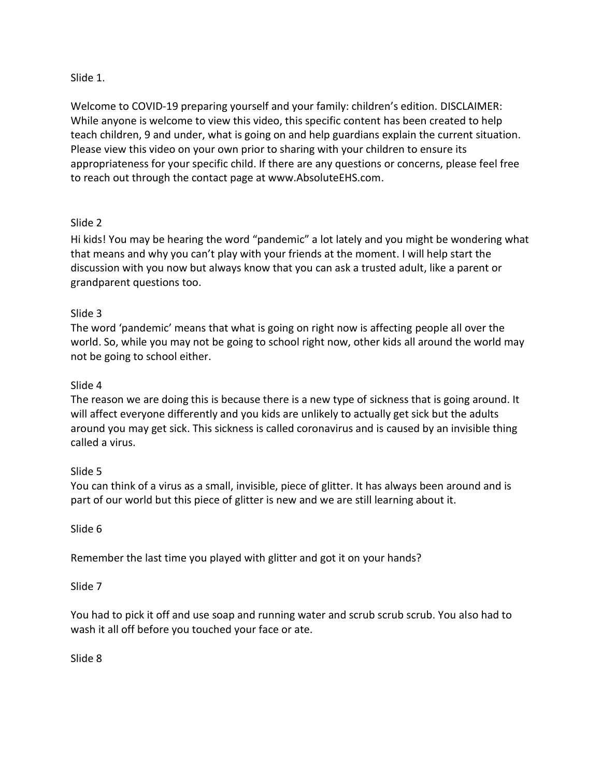## Slide 1.

Welcome to COVID-19 preparing yourself and your family: children's edition. DISCLAIMER: While anyone is welcome to view this video, this specific content has been created to help teach children, 9 and under, what is going on and help guardians explain the current situation. Please view this video on your own prior to sharing with your children to ensure its appropriateness for your specific child. If there are any questions or concerns, please feel free to reach out through the contact page at www.AbsoluteEHS.com.

# Slide 2

Hi kids! You may be hearing the word "pandemic" a lot lately and you might be wondering what that means and why you can't play with your friends at the moment. I will help start the discussion with you now but always know that you can ask a trusted adult, like a parent or grandparent questions too.

## Slide 3

The word 'pandemic' means that what is going on right now is affecting people all over the world. So, while you may not be going to school right now, other kids all around the world may not be going to school either.

## Slide 4

The reason we are doing this is because there is a new type of sickness that is going around. It will affect everyone differently and you kids are unlikely to actually get sick but the adults around you may get sick. This sickness is called coronavirus and is caused by an invisible thing called a virus.

#### Slide 5

You can think of a virus as a small, invisible, piece of glitter. It has always been around and is part of our world but this piece of glitter is new and we are still learning about it.

Slide 6

Remember the last time you played with glitter and got it on your hands?

#### Slide 7

You had to pick it off and use soap and running water and scrub scrub scrub. You also had to wash it all off before you touched your face or ate.

Slide 8